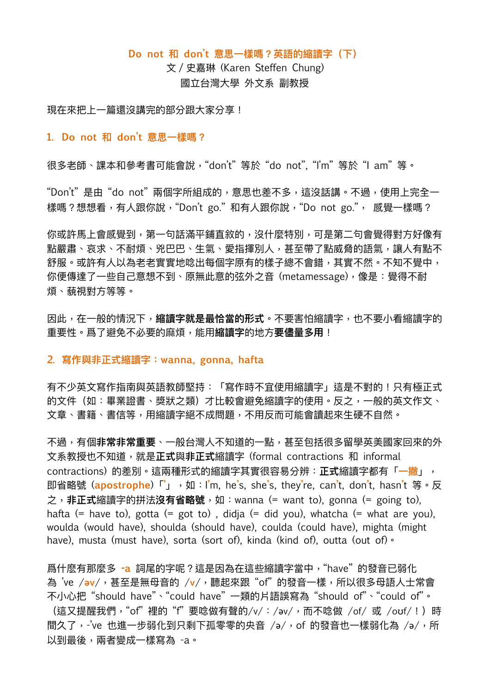#### **Do not 和 don't 意思⼀樣嗎?英語的縮讀字(下)**

文 / 史嘉琳 (Karen Steffen Chung) 國立台灣⼤學 外⽂系 副教授

現在來把上一篇還沒講完的部分跟大家分享!

### **1. Do not 和 don't 意思⼀樣嗎?**

很多老師、課本和參考書可能會說,"don't" 等於 "do not", "I'm" 等於 "I am" 等。

"Don't"是由"do not"兩個字所組成的,意思也差不多,這沒話講。不過,使用上完全一 樣嗎?想想看,有人跟你說,"Don't go."和有人跟你說,"Do not go.", 感覺一樣嗎?

你或許馬上會感覺到,第一句話滿平鋪直敘的,沒什麼特別,可是第二句會覺得對方好像有 點嚴肅、哀求、不耐煩、兇巴巴、生氣、愛指揮別人,甚至帶了點威脅的語氣,讓人有點不 舒服。或許有人以為老老實實地唸出每個字原有的樣子總不會錯,其實不然。不知不覺中, 你便傳達了一些自己意想不到、原無此意的弦外之音 (metamessage),像是: 覺得不耐 煩、藐視對方等等。

因此,在一般的情況下,**縮讀字就是最恰當的形式**。不要害怕縮讀字,也不要小看縮讀字的 重要性。爲了避免不必要的麻煩,能用縮**讀字**的地方**要儘量多用**!

### **2. 寫作與非正式縮讀字:wanna, gonna, hafta**

有不少英文寫作指南與英語教師堅持: 「寫作時不宜使用縮讀字」這是不對的!只有極正式 的文件(如:畢業證書、獎狀之類)才比較會避免縮讀字的使用。反之,一般的英文作文、 文章、書籍、書信等,用縮讀字絕不成問題,不用反而可能會讀起來生硬不自然。

不過,有個**非常非常重要**、一般台灣人不知道的一點,甚至包括很多留學英美國家回來的外 ⽂系教授也不知道,就是**正式**與**非正式**縮讀字 (formal contractions 和 informal contractions) 的差別。這兩種形式的縮讀字其實很容易分辨:**正式**縮讀字都有「**⼀撇**」, 即省略號 (**apostrophe**)「**'**」,如:I**'**m, he**'**s, she**'**s, they**'**re, can**'**t, don**'**t, hasn**'**t 等。反 之,**非正式**縮讀字的拼法**沒有省略號**,如:wanna (= want to), gonna (= going to), hafta (= have to), gotta (= got to), didja (= did you), whatcha (= what are you), woulda (would have), shoulda (should have), coulda (could have), mighta (might have), musta (must have), sorta (sort of), kinda (kind of), outta (out of) ·

爲什麼有那麼多 -a 詞尾的字呢?這是因為在這些縮讀字當中, "have"的發音已弱化 為 've /av/,甚至是無母音的 /v/,聽起來跟"of" 的發音一樣,所以很多母語人士常會 不小心把"should have"、"could have"一類的片語誤寫為"should of"、"could of"。 (這又提醒我們, "of"裡的"f"要唸做有聲的/v/:/əv/,而不唸做 /of/ 或 /ouf/!) 時 間久了,-'ve 也進一步弱化到只剩下孤零零的央音 /ə/,of 的發音也一樣弱化為 /ə/,所 以到最後,兩者變成一樣寫為 -a。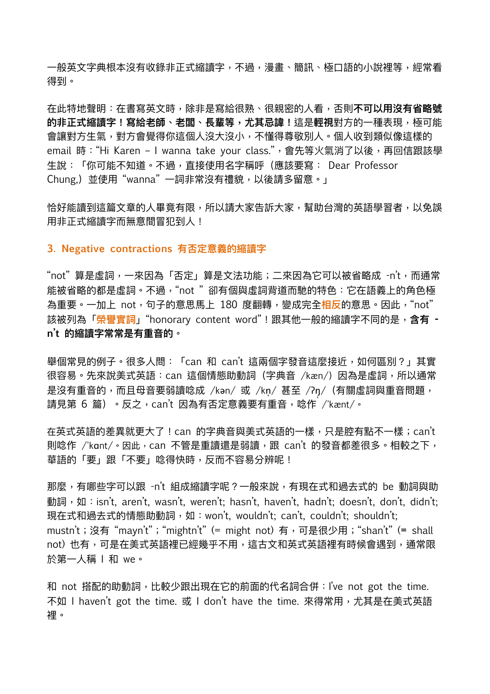一般英文字典根本沒有收錄非正式縮讀字,不過,漫畫、簡訊、極口語的小說裡等,經常看 得到。

在此特地聲明:在書寫英⽂時,除非是寫給很熟、很親密的⼈看,否則**不可以⽤沒有省略號 的非正式縮讀字!寫給老師、老闆、長輩等,尤其忌諱!**這是**輕視**對⽅的⼀種表現,極可能 會讓對方生氣,對方會覺得你這個人沒大沒小,不懂得尊敬別人。個人收到類似像這樣的 email 時: "Hi Karen - I wanna take your class.", 會先等火氣消了以後, 再回信跟該學 生說:「你可能不知道。不過,直接使用名字稱呼(應該要寫: Dear Professor Chung.)並使用"wanna"一詞非常沒有禮貌,以後請多留意。」

恰好能讀到這篇文章的人畢竟有限,所以請大家告訴大家,幫助台灣的英語學習者,以免誤 用非正式縮讀字而無意間冒犯到人!

## **3. Negative contractions 有否定意義的縮讀字**

"not"算是虛詞,一來因為「否定」算是文法功能;二來因為它可以被省略成 -n't,而通常 能被省略的都是虛詞。不過,"not "卻有個與虛詞背道而馳的特色:它在語義上的角色極 為重要。一加上 not,句子的意思馬上 180 度翻轉,變成完全<mark>相反</mark>的意思。因此,"not" 該被列為「**榮譽實詞**」"honorary content word"!跟其他⼀般的縮讀字不同的是,**含有 n't 的縮讀字常常是有重⾳的**。

舉個常見的例子。很多人問:「can 和 can't 這兩個字發音這麼接近,如何區別?」其實 很容易。先來說美式英語:can 這個情態助動詞(字典音 /kæn/) 因為是虛詞,所以通常 是沒有重音的,而且母音要弱讀唸成 /kən/ 或 /kn̩/ 甚至 /ʔŋ/(有關虛詞與重音問題, 請見第 6 篇) 。反之, can't 因為有否定意義要有重音, 唸作 /'kænt/。

在英式英語的差異就更大了!can 的字典音與美式英語的一樣,只是腔有點不一樣;can't 則唸作 /'kɑnt/。因此,can 不管是重讀還是弱讀,跟 can't 的發音都差很多。相較之下, 華語的「要」跟「不要」唸得快時,反而不容易分辨呢!

那麼,有哪些字可以跟 -n't 組成縮讀字呢?一般來說,有現在式和過去式的 be 動詞與助 動詞,如:isn't, aren't, wasn't, weren't; hasn't, haven't, hadn't; doesn't, don't, didn't; 現在式和過去式的情態助動詞,如:won't, wouldn't; can't, couldn't; shouldn't; mustn't;沒有 "mayn't";"mightn't" (= might not) 有,可是很少⽤;"shan't" (**=** shall not)也有,可是在美式英語裡已經幾乎不用,這古文和英式英語裡有時候會遇到,通常限 於第一人稱 | 和 we。

和 not 搭配的助動詞, 比較少跟出現在它的前面的代名詞合併: I've not got the time. 不如 I haven't got the time. 或 I don't have the time. 來得常用,尤其是在美式英語 裡。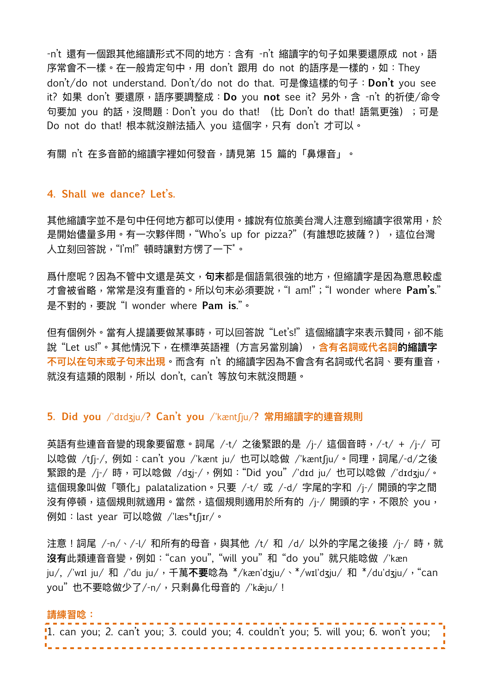-n't 還有一個跟其他縮讀形式不同的地方:含有 -n't 縮讀字的句子如果要還原成 not,語 序常會不一樣。在一般肯定句中,用 don't 跟用 do not 的語序是一樣的,如:They don't/do not understand. Don't/do not do that. 可是像這樣的句⼦:**Don't** you see it? 如果 don't 要還原,語序要調整成:**Do** you **not** see it? 另外,含 -n't 的祈使/命令 句要加 you 的話,沒問題: Don't you do that! (比 Don't do that! 語氣更強);可是 Do not do that! 根本就沒辦法插入 you 這個字,只有 don't 才可以。

有關 n't 在多音節的縮讀字裡如何發音,請見第 15 篇的「鼻爆音」。

## **4. Shall we dance? Let's.**

<span id="page-2-0"></span>其他縮讀字並不是句中任何地方都可以使用。據說有位旅美台灣人注意到縮讀字很常用,於 是開始儘量多用。有一次夥伴問,"Who's up for pizza?"(有誰想吃披薩?),這位台灣 人立刻回答說, "I'm!"頓時讓對方愣了一下[\\*](#page-3-0)。

爲什麽呢?因為不管中⽂還是英⽂,**句末**都是個語氣很強的地⽅,但縮讀字是因為意思較虛 才會被省略,常常是沒有重⾳的。所以句末必須要說,"I am!";"I wonder where **Pam's**." 是不對的,要說 "I wonder where **Pam is**."。

但有個例外。當有人提議要做某事時,可以回答說"Let's!"這個縮讀字來表示贊同,卻不能 說"Let us!"。其他情況下,在標準英語裡(方言另當別論),**含有名詞或代名詞的縮讀字** 不可以在句末或子句末出現。而含有 n't 的縮讀字因為不會含有名詞或代名詞、要有重音, 就沒有這類的限制,所以 don't, can't 等放句末就沒問題。

## **5. Did you** /'dɪdʒju/**? Can't you** /'kæntʃju/**? 常⽤縮讀字的連⾳規則**

英語有些連音音變的現象要留意。詞尾 /-t/ 之後緊跟的是 /j-/ 這個音時,/-t/ + /j-/ 可 以唸做 /tʃj-/, 例如:can't you /'kænt ju/ 也可以唸做 /'kæntʃju/。同理,詞尾/-d/之後 緊跟的是 /j-/ 時,可以唸做 /dʒj-/,例如:"Did you"/'dɪd ju/ 也可以唸做 /'dɪdʒju/。 這個現象叫做「顎化」palatalization。只要 /-t/ 或 /-d/ 字尾的字和 /j-/ 開頭的字之間 沒有停頓,這個規則就適用。當然,這個規則適用於所有的 /j-/ 開頭的字,不限於 you, 例如:last year 可以唸做 /'læs\*tʃjɪr/。

注意!詞尾 /-n/、/-l/ 和所有的母音,與其他 /t/ 和 /d/ 以外的字尾之後接 /j-/ 時,就 沒有此類連音音變, 例如: "can you", "will you" 和 "do you" 就只能唸做 /'kæn ju/, /'wɪl ju/ 和 /'du ju/,千萬**不要**唸為 \*/kæn'dʒju/、\*/wɪl'dʒju/ 和 \*/du'dʒju/,"can you"也不要唸做少了/-n/,只剩鼻化母音的 /'kaěju/!

### **請練習唸:**

|  | 1. can you; 2. can't you; 3. could you; 4. couldn't you; 5. will you; 6. won't you; |  |  |  |  |  |  |  |  |  |  |  |  |  |  |  |  |  |  |  |  |  |  |
|--|-------------------------------------------------------------------------------------|--|--|--|--|--|--|--|--|--|--|--|--|--|--|--|--|--|--|--|--|--|--|
|  |                                                                                     |  |  |  |  |  |  |  |  |  |  |  |  |  |  |  |  |  |  |  |  |  |  |